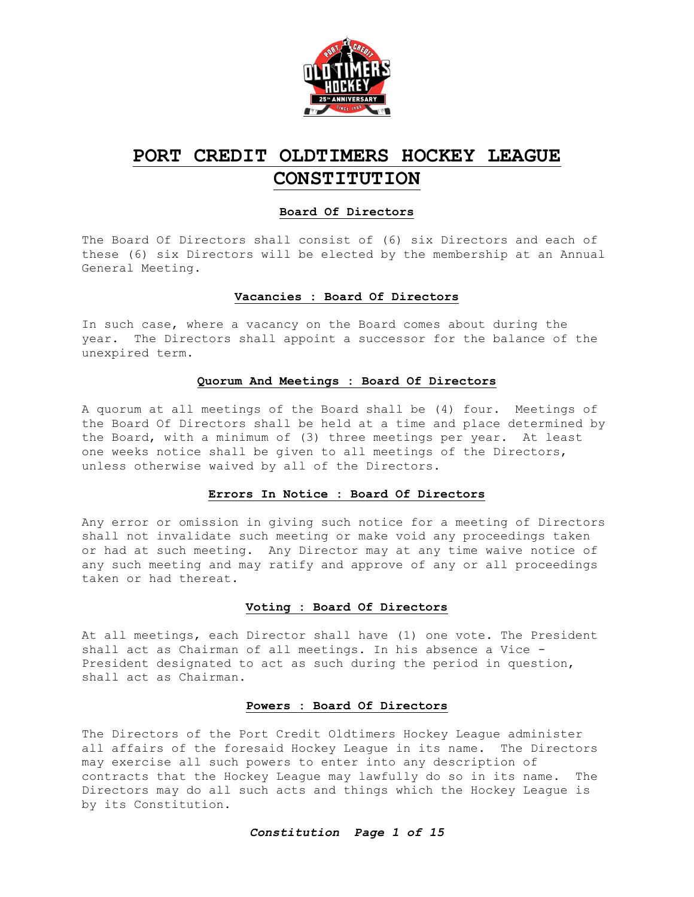

## **PORT CREDIT OLDTIMERS HOCKEY LEAGUE CONSTITUTION**

#### **Board Of Directors**

The Board Of Directors shall consist of (6) six Directors and each of these (6) six Directors will be elected by the membership at an Annual General Meeting.

#### **Vacancies : Board Of Directors**

In such case, where a vacancy on the Board comes about during the year. The Directors shall appoint a successor for the balance of the unexpired term.

#### **Quorum And Meetings : Board Of Directors**

A quorum at all meetings of the Board shall be (4) four. Meetings of the Board Of Directors shall be held at a time and place determined by the Board, with a minimum of (3) three meetings per year. At least one weeks notice shall be given to all meetings of the Directors, unless otherwise waived by all of the Directors.

#### **Errors In Notice : Board Of Directors**

Any error or omission in giving such notice for a meeting of Directors shall not invalidate such meeting or make void any proceedings taken or had at such meeting. Any Director may at any time waive notice of any such meeting and may ratify and approve of any or all proceedings taken or had thereat.

#### **Voting : Board Of Directors**

At all meetings, each Director shall have (1) one vote. The President shall act as Chairman of all meetings. In his absence a Vice - President designated to act as such during the period in question, shall act as Chairman.

#### **Powers : Board Of Directors**

The Directors of the Port Credit Oldtimers Hockey League administer all affairs of the foresaid Hockey League in its name. The Directors may exercise all such powers to enter into any description of contracts that the Hockey League may lawfully do so in its name. The Directors may do all such acts and things which the Hockey League is by its Constitution.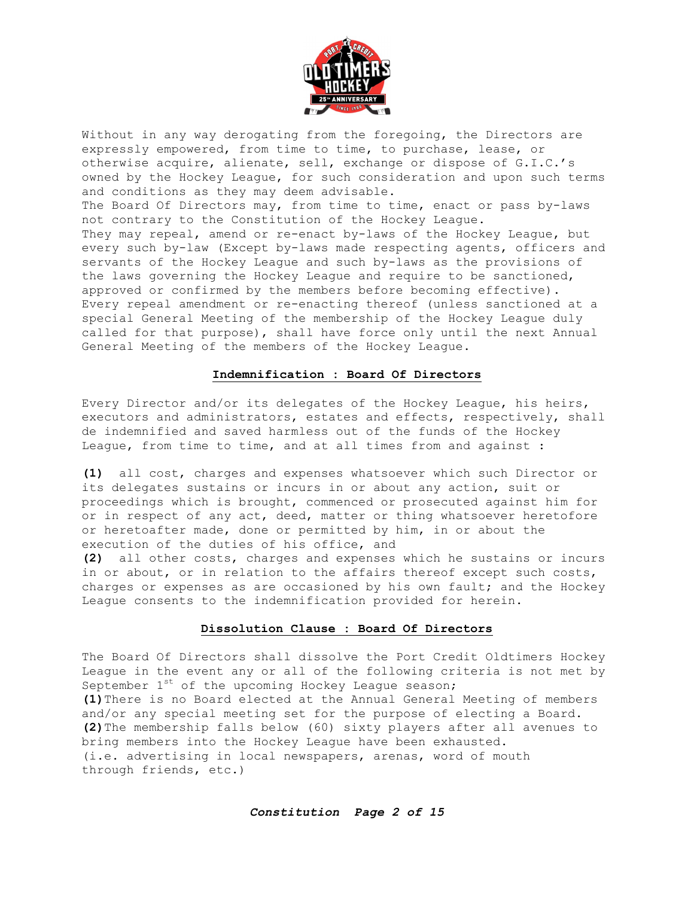

Without in any way derogating from the foregoing, the Directors are expressly empowered, from time to time, to purchase, lease, or otherwise acquire, alienate, sell, exchange or dispose of G.I.C.'s owned by the Hockey League, for such consideration and upon such terms and conditions as they may deem advisable. The Board Of Directors may, from time to time, enact or pass by-laws not contrary to the Constitution of the Hockey League. They may repeal, amend or re-enact by-laws of the Hockey League, but every such by-law (Except by-laws made respecting agents, officers and servants of the Hockey League and such by-laws as the provisions of the laws governing the Hockey League and require to be sanctioned, approved or confirmed by the members before becoming effective). Every repeal amendment or re-enacting thereof (unless sanctioned at a special General Meeting of the membership of the Hockey League duly called for that purpose), shall have force only until the next Annual General Meeting of the members of the Hockey League.

#### **Indemnification : Board Of Directors**

Every Director and/or its delegates of the Hockey League, his heirs, executors and administrators, estates and effects, respectively, shall de indemnified and saved harmless out of the funds of the Hockey League, from time to time, and at all times from and against :

**(1)** all cost, charges and expenses whatsoever which such Director or its delegates sustains or incurs in or about any action, suit or proceedings which is brought, commenced or prosecuted against him for or in respect of any act, deed, matter or thing whatsoever heretofore or heretoafter made, done or permitted by him, in or about the execution of the duties of his office, and

**(2)** all other costs, charges and expenses which he sustains or incurs in or about, or in relation to the affairs thereof except such costs, charges or expenses as are occasioned by his own fault; and the Hockey League consents to the indemnification provided for herein.

#### **Dissolution Clause : Board Of Directors**

The Board Of Directors shall dissolve the Port Credit Oldtimers Hockey League in the event any or all of the following criteria is not met by September  $1^{st}$  of the upcoming Hockey League season; **(1)**There is no Board elected at the Annual General Meeting of members and/or any special meeting set for the purpose of electing a Board. **(2)**The membership falls below (60) sixty players after all avenues to bring members into the Hockey League have been exhausted. (i.e. advertising in local newspapers, arenas, word of mouth through friends, etc.)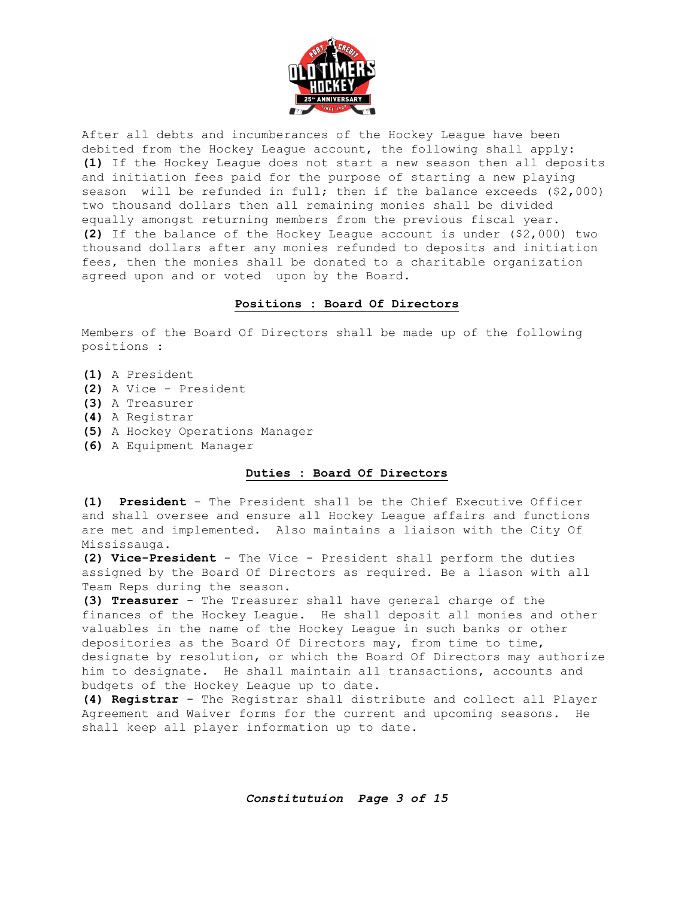

After all debts and incumberances of the Hockey League have been debited from the Hockey League account, the following shall apply: **(1)** If the Hockey League does not start a new season then all deposits and initiation fees paid for the purpose of starting a new playing season will be refunded in full; then if the balance exceeds (\$2,000) two thousand dollars then all remaining monies shall be divided equally amongst returning members from the previous fiscal year. **(2)** If the balance of the Hockey League account is under (\$2,000) two thousand dollars after any monies refunded to deposits and initiation fees, then the monies shall be donated to a charitable organization agreed upon and or voted upon by the Board.

#### **Positions : Board Of Directors**

Members of the Board Of Directors shall be made up of the following positions :

- **(1)** A President
- **(2)** A Vice President
- **(3)** A Treasurer
- **(4)** A Registrar
- **(5)** A Hockey Operations Manager
- **(6)** A Equipment Manager

#### **Duties : Board Of Directors**

**(1) President** - The President shall be the Chief Executive Officer and shall oversee and ensure all Hockey League affairs and functions are met and implemented. Also maintains a liaison with the City Of Mississauga.

**(2) Vice-President** - The Vice - President shall perform the duties assigned by the Board Of Directors as required. Be a liason with all Team Reps during the season.

**(3) Treasurer** - The Treasurer shall have general charge of the finances of the Hockey League. He shall deposit all monies and other valuables in the name of the Hockey League in such banks or other depositories as the Board Of Directors may, from time to time, designate by resolution, or which the Board Of Directors may authorize him to designate. He shall maintain all transactions, accounts and budgets of the Hockey League up to date.

**(4) Registrar** - The Registrar shall distribute and collect all Player Agreement and Waiver forms for the current and upcoming seasons. He shall keep all player information up to date.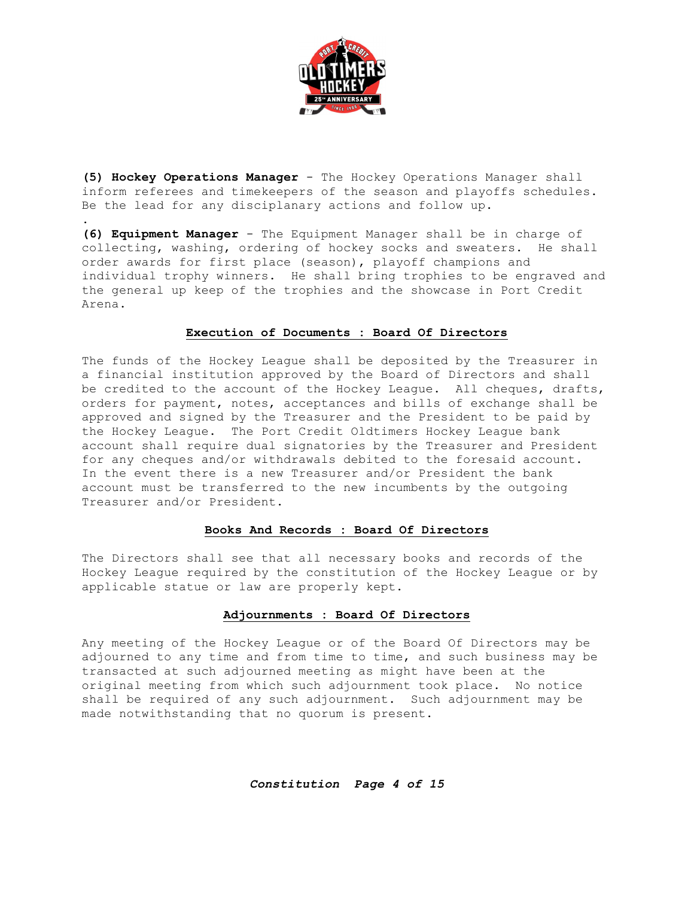

**(5) Hockey Operations Manager** - The Hockey Operations Manager shall inform referees and timekeepers of the season and playoffs schedules. Be the lead for any disciplanary actions and follow up.

.

**(6) Equipment Manager** - The Equipment Manager shall be in charge of collecting, washing, ordering of hockey socks and sweaters. He shall order awards for first place (season), playoff champions and individual trophy winners. He shall bring trophies to be engraved and the general up keep of the trophies and the showcase in Port Credit Arena.

#### **Execution of Documents : Board Of Directors**

The funds of the Hockey League shall be deposited by the Treasurer in a financial institution approved by the Board of Directors and shall be credited to the account of the Hockey League. All cheques, drafts, orders for payment, notes, acceptances and bills of exchange shall be approved and signed by the Treasurer and the President to be paid by the Hockey League. The Port Credit Oldtimers Hockey League bank account shall require dual signatories by the Treasurer and President for any cheques and/or withdrawals debited to the foresaid account. In the event there is a new Treasurer and/or President the bank account must be transferred to the new incumbents by the outgoing Treasurer and/or President.

#### **Books And Records : Board Of Directors**

The Directors shall see that all necessary books and records of the Hockey League required by the constitution of the Hockey League or by applicable statue or law are properly kept.

#### **Adjournments : Board Of Directors**

Any meeting of the Hockey League or of the Board Of Directors may be adjourned to any time and from time to time, and such business may be transacted at such adjourned meeting as might have been at the original meeting from which such adjournment took place. No notice shall be required of any such adjournment. Such adjournment may be made notwithstanding that no quorum is present.

*Constitution Page 4 of 15*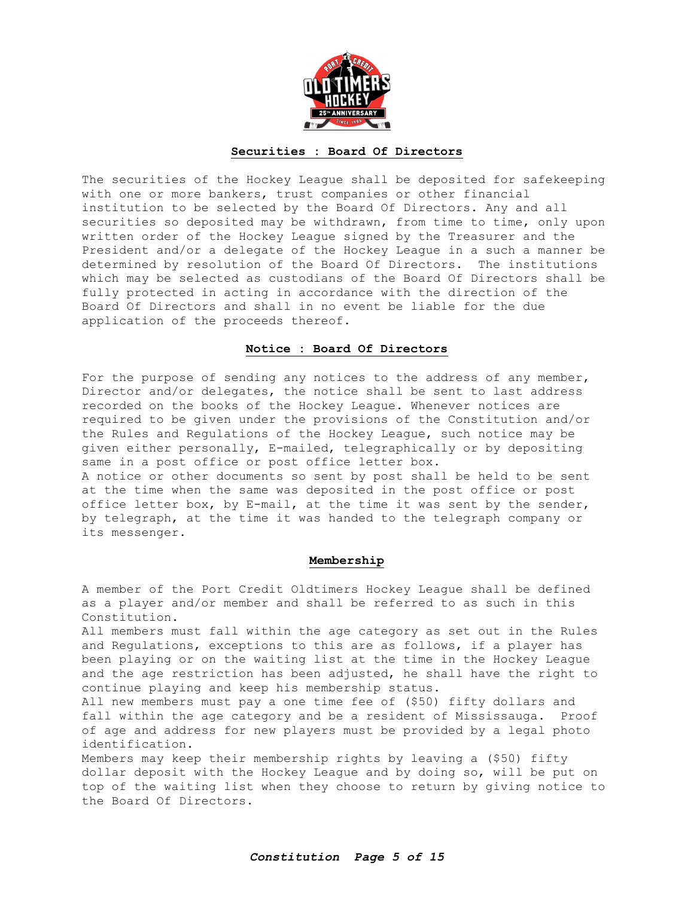

#### **Securities : Board Of Directors**

The securities of the Hockey League shall be deposited for safekeeping with one or more bankers, trust companies or other financial institution to be selected by the Board Of Directors. Any and all securities so deposited may be withdrawn, from time to time, only upon written order of the Hockey League signed by the Treasurer and the President and/or a delegate of the Hockey League in a such a manner be determined by resolution of the Board Of Directors. The institutions which may be selected as custodians of the Board Of Directors shall be fully protected in acting in accordance with the direction of the Board Of Directors and shall in no event be liable for the due application of the proceeds thereof.

#### **Notice : Board Of Directors**

For the purpose of sending any notices to the address of any member, Director and/or delegates, the notice shall be sent to last address recorded on the books of the Hockey League. Whenever notices are required to be given under the provisions of the Constitution and/or the Rules and Regulations of the Hockey League, such notice may be given either personally, E-mailed, telegraphically or by depositing same in a post office or post office letter box. A notice or other documents so sent by post shall be held to be sent at the time when the same was deposited in the post office or post

office letter box, by E-mail, at the time it was sent by the sender, by telegraph, at the time it was handed to the telegraph company or its messenger.

#### **Membership**

A member of the Port Credit Oldtimers Hockey League shall be defined as a player and/or member and shall be referred to as such in this Constitution.

All members must fall within the age category as set out in the Rules and Regulations, exceptions to this are as follows, if a player has been playing or on the waiting list at the time in the Hockey League and the age restriction has been adjusted, he shall have the right to continue playing and keep his membership status.

All new members must pay a one time fee of (\$50) fifty dollars and fall within the age category and be a resident of Mississauga. Proof of age and address for new players must be provided by a legal photo identification.

Members may keep their membership rights by leaving a (\$50) fifty dollar deposit with the Hockey League and by doing so, will be put on top of the waiting list when they choose to return by giving notice to the Board Of Directors.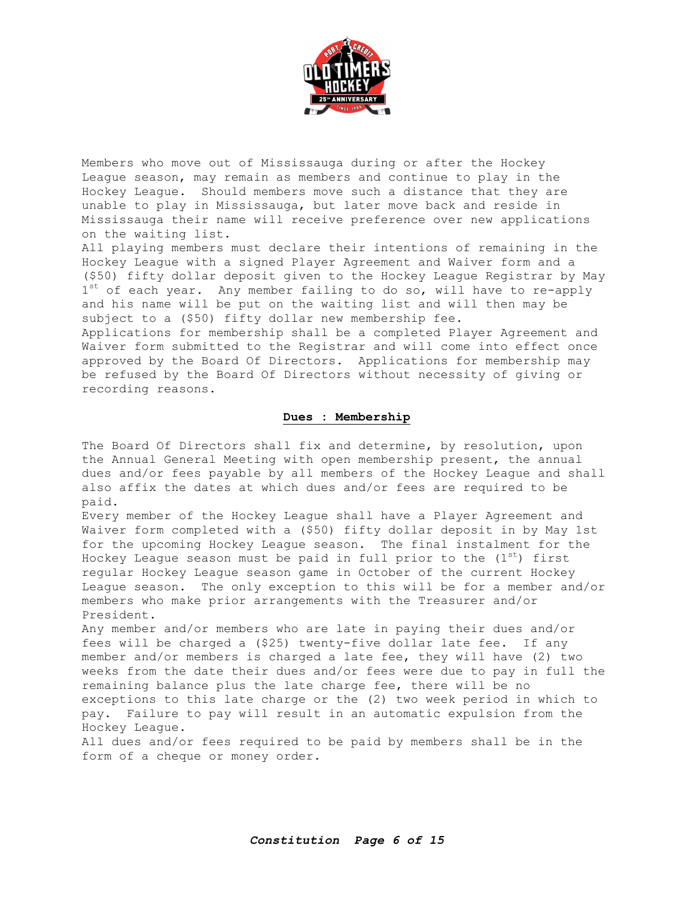

Members who move out of Mississauga during or after the Hockey League season, may remain as members and continue to play in the Hockey League. Should members move such a distance that they are unable to play in Mississauga, but later move back and reside in Mississauga their name will receive preference over new applications on the waiting list.

All playing members must declare their intentions of remaining in the Hockey League with a signed Player Agreement and Waiver form and a (\$50) fifty dollar deposit given to the Hockey League Registrar by May  $1<sup>st</sup>$  of each year. Any member failing to do so, will have to re-apply and his name will be put on the waiting list and will then may be subject to a (\$50) fifty dollar new membership fee.

Applications for membership shall be a completed Player Agreement and Waiver form submitted to the Registrar and will come into effect once approved by the Board Of Directors. Applications for membership may be refused by the Board Of Directors without necessity of giving or recording reasons.

#### **Dues : Membership**

The Board Of Directors shall fix and determine, by resolution, upon the Annual General Meeting with open membership present, the annual dues and/or fees payable by all members of the Hockey League and shall also affix the dates at which dues and/or fees are required to be paid.

Every member of the Hockey League shall have a Player Agreement and Waiver form completed with a (\$50) fifty dollar deposit in by May 1st for the upcoming Hockey League season. The final instalment for the Hockey League season must be paid in full prior to the  $(1<sup>st</sup>)$  first regular Hockey League season game in October of the current Hockey League season. The only exception to this will be for a member and/or members who make prior arrangements with the Treasurer and/or President.

Any member and/or members who are late in paying their dues and/or fees will be charged a (\$25) twenty-five dollar late fee. If any member and/or members is charged a late fee, they will have (2) two weeks from the date their dues and/or fees were due to pay in full the remaining balance plus the late charge fee, there will be no exceptions to this late charge or the (2) two week period in which to pay. Failure to pay will result in an automatic expulsion from the Hockey League.

All dues and/or fees required to be paid by members shall be in the form of a cheque or money order.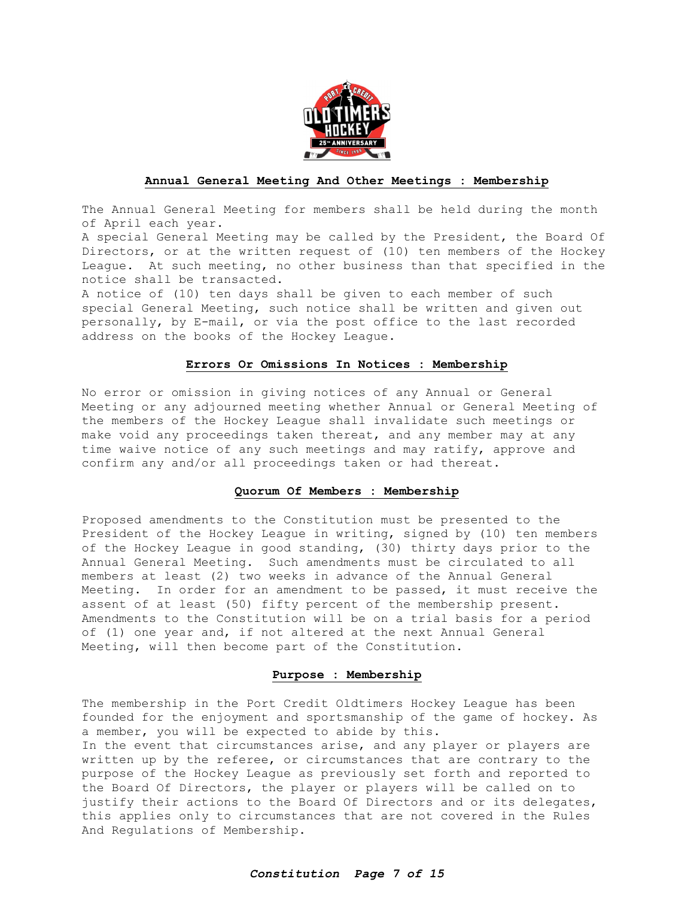

#### **Annual General Meeting And Other Meetings : Membership**

The Annual General Meeting for members shall be held during the month of April each year.

A special General Meeting may be called by the President, the Board Of Directors, or at the written request of (10) ten members of the Hockey League. At such meeting, no other business than that specified in the notice shall be transacted.

A notice of (10) ten days shall be given to each member of such special General Meeting, such notice shall be written and given out personally, by E-mail, or via the post office to the last recorded address on the books of the Hockey League.

#### **Errors Or Omissions In Notices : Membership**

No error or omission in giving notices of any Annual or General Meeting or any adjourned meeting whether Annual or General Meeting of the members of the Hockey League shall invalidate such meetings or make void any proceedings taken thereat, and any member may at any time waive notice of any such meetings and may ratify, approve and confirm any and/or all proceedings taken or had thereat.

#### **Quorum Of Members : Membership**

Proposed amendments to the Constitution must be presented to the President of the Hockey League in writing, signed by (10) ten members of the Hockey League in good standing, (30) thirty days prior to the Annual General Meeting. Such amendments must be circulated to all members at least (2) two weeks in advance of the Annual General Meeting. In order for an amendment to be passed, it must receive the assent of at least (50) fifty percent of the membership present. Amendments to the Constitution will be on a trial basis for a period of (1) one year and, if not altered at the next Annual General Meeting, will then become part of the Constitution.

#### **Purpose : Membership**

The membership in the Port Credit Oldtimers Hockey League has been founded for the enjoyment and sportsmanship of the game of hockey. As a member, you will be expected to abide by this. In the event that circumstances arise, and any player or players are written up by the referee, or circumstances that are contrary to the purpose of the Hockey League as previously set forth and reported to the Board Of Directors, the player or players will be called on to justify their actions to the Board Of Directors and or its delegates, this applies only to circumstances that are not covered in the Rules And Regulations of Membership.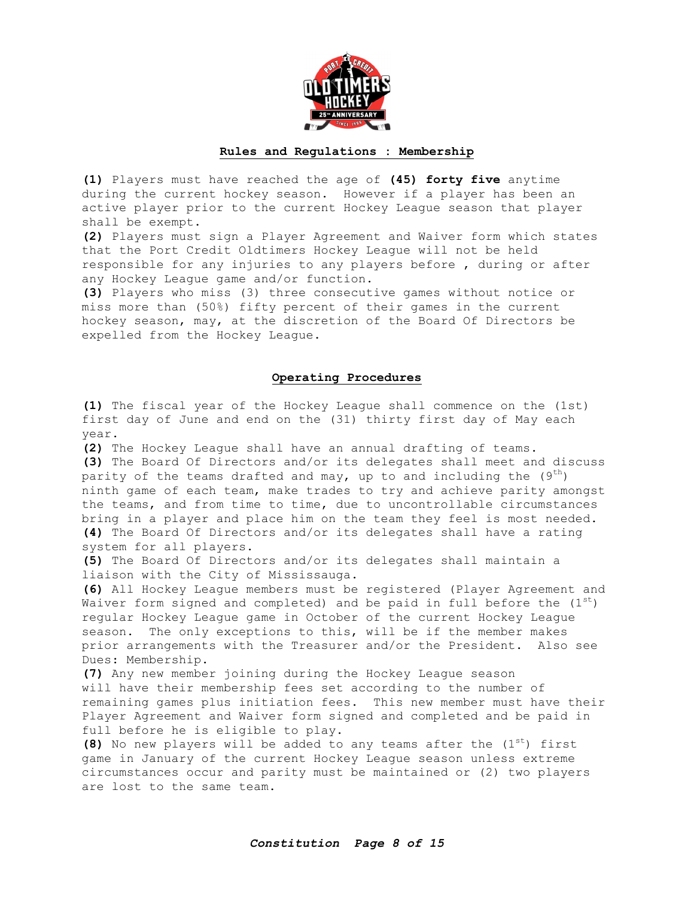

#### **Rules and Regulations : Membership**

**(1)** Players must have reached the age of **(45) forty five** anytime during the current hockey season. However if a player has been an active player prior to the current Hockey League season that player shall be exempt.

**(2)** Players must sign a Player Agreement and Waiver form which states that the Port Credit Oldtimers Hockey League will not be held responsible for any injuries to any players before , during or after any Hockey League game and/or function.

**(3)** Players who miss (3) three consecutive games without notice or miss more than (50%) fifty percent of their games in the current hockey season, may, at the discretion of the Board Of Directors be expelled from the Hockey League.

#### **Operating Procedures**

**(1)** The fiscal year of the Hockey League shall commence on the (1st) first day of June and end on the (31) thirty first day of May each year.

**(2)** The Hockey League shall have an annual drafting of teams. **(3)** The Board Of Directors and/or its delegates shall meet and discuss parity of the teams drafted and may, up to and including the  $(9^{th})$ ninth game of each team, make trades to try and achieve parity amongst the teams, and from time to time, due to uncontrollable circumstances bring in a player and place him on the team they feel is most needed. **(4)** The Board Of Directors and/or its delegates shall have a rating system for all players.

**(5)** The Board Of Directors and/or its delegates shall maintain a liaison with the City of Mississauga.

**(6)** All Hockey League members must be registered (Player Agreement and Waiver form signed and completed) and be paid in full before the  $(1^{st})$ regular Hockey League game in October of the current Hockey League season. The only exceptions to this, will be if the member makes prior arrangements with the Treasurer and/or the President. Also see Dues: Membership.

**(7)** Any new member joining during the Hockey League season will have their membership fees set according to the number of remaining games plus initiation fees. This new member must have their Player Agreement and Waiver form signed and completed and be paid in full before he is eligible to play.

**(8)** No new players will be added to any teams after the (1<sup>st</sup>) first game in January of the current Hockey League season unless extreme circumstances occur and parity must be maintained or (2) two players are lost to the same team.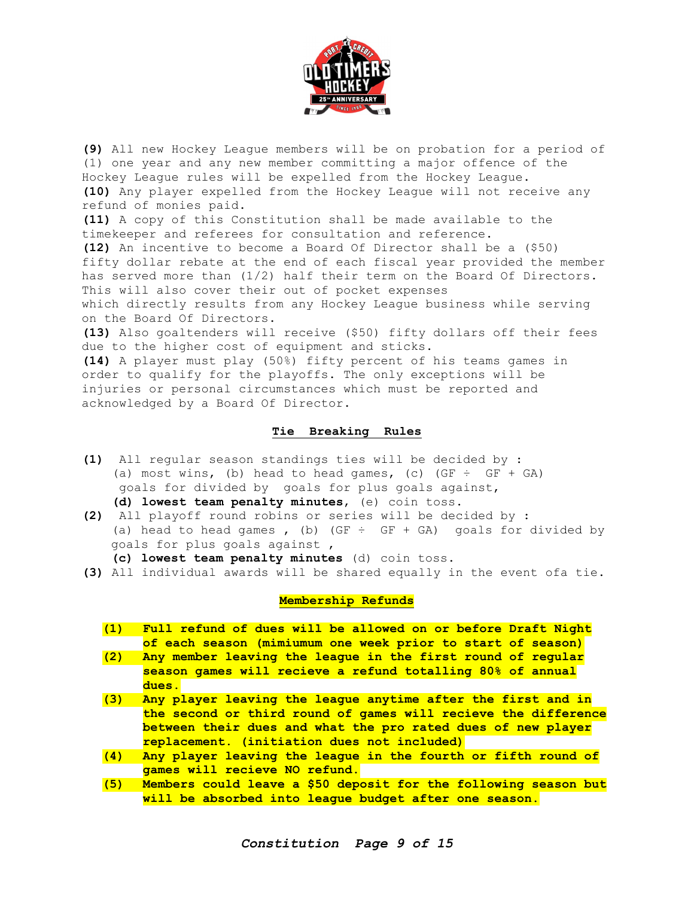

**(9)** All new Hockey League members will be on probation for a period of (1) one year and any new member committing a major offence of the Hockey League rules will be expelled from the Hockey League. **(10)** Any player expelled from the Hockey League will not receive any refund of monies paid.

**(11)** A copy of this Constitution shall be made available to the timekeeper and referees for consultation and reference.

**(12)** An incentive to become a Board Of Director shall be a (\$50) fifty dollar rebate at the end of each fiscal year provided the member has served more than (1/2) half their term on the Board Of Directors. This will also cover their out of pocket expenses which directly results from any Hockey League business while serving on the Board Of Directors.

**(13)** Also goaltenders will receive (\$50) fifty dollars off their fees due to the higher cost of equipment and sticks.

**(14)** A player must play (50%) fifty percent of his teams games in order to qualify for the playoffs. The only exceptions will be injuries or personal circumstances which must be reported and acknowledged by a Board Of Director.

#### **Tie Breaking Rules**

**(1)** All regular season standings ties will be decided by : (a) most wins, (b) head to head games, (c) (GF  $\div$  GF + GA) goals for divided by goals for plus goals against, **(d) lowest team penalty minutes**, (e) coin toss.

- **(2)** All playoff round robins or series will be decided by : (a) head to head games, (b) (GF  $\div$  GF + GA) goals for divided by goals for plus goals against ,
	- **(c) lowest team penalty minutes** (d) coin toss.
- **(3)** All individual awards will be shared equally in the event ofa tie.

#### **Membership Refunds**

| (1) | Full refund of dues will be allowed on or before Draft Night |
|-----|--------------------------------------------------------------|
|     | of each season (mimiumum one week prior to start of season)  |
| (2) | Any member leaving the league in the first round of regular  |
|     |                                                              |

- **season games will recieve a refund totalling 80% of annual dues.**
- **(3) Any player leaving the league anytime after the first and in the second or third round of games will recieve the difference between their dues and what the pro rated dues of new player replacement. (initiation dues not included)**
- **(4) Any player leaving the league in the fourth or fifth round of games will recieve NO refund.**
- **(5) Members could leave a \$50 deposit for the following season but will be absorbed into league budget after one season.**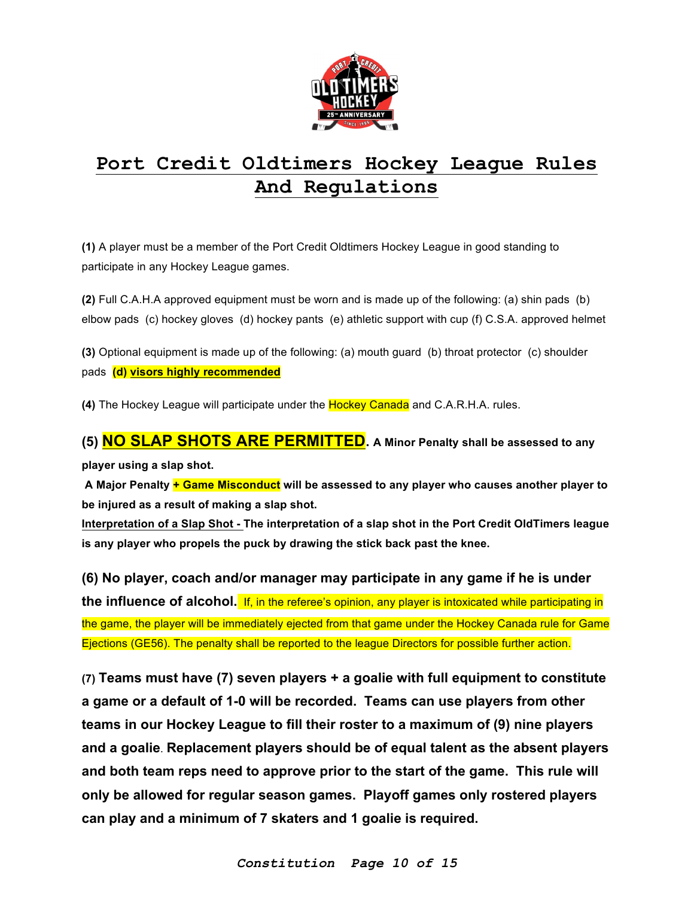

## **Port Credit Oldtimers Hockey League Rules And Regulations**

**(1)** A player must be a member of the Port Credit Oldtimers Hockey League in good standing to participate in any Hockey League games.

**(2)** Full C.A.H.A approved equipment must be worn and is made up of the following: (a) shin pads (b) elbow pads (c) hockey gloves (d) hockey pants (e) athletic support with cup (f) C.S.A. approved helmet

**(3)** Optional equipment is made up of the following: (a) mouth guard (b) throat protector (c) shoulder pads **(d) visors highly recommended**

**(4)** The Hockey League will participate under the Hockey Canada and C.A.R.H.A. rules.

## **(5) NO SLAP SHOTS ARE PERMITTED. A Minor Penalty shall be assessed to any**

**player using a slap shot.**

**A Major Penalty + Game Misconduct will be assessed to any player who causes another player to be injured as a result of making a slap shot.**

**Interpretation of a Slap Shot - The interpretation of a slap shot in the Port Credit OldTimers league is any player who propels the puck by drawing the stick back past the knee.**

**(6) No player, coach and/or manager may participate in any game if he is under the influence of alcohol.** If, in the referee's opinion, any player is intoxicated while participating in the game, the player will be immediately ejected from that game under the Hockey Canada rule for Game Ejections (GE56). The penalty shall be reported to the league Directors for possible further action.

**(7) Teams must have (7) seven players + a goalie with full equipment to constitute a game or a default of 1-0 will be recorded. Teams can use players from other teams in our Hockey League to fill their roster to a maximum of (9) nine players and a goalie**. **Replacement players should be of equal talent as the absent players and both team reps need to approve prior to the start of the game. This rule will only be allowed for regular season games. Playoff games only rostered players can play and a minimum of 7 skaters and 1 goalie is required.**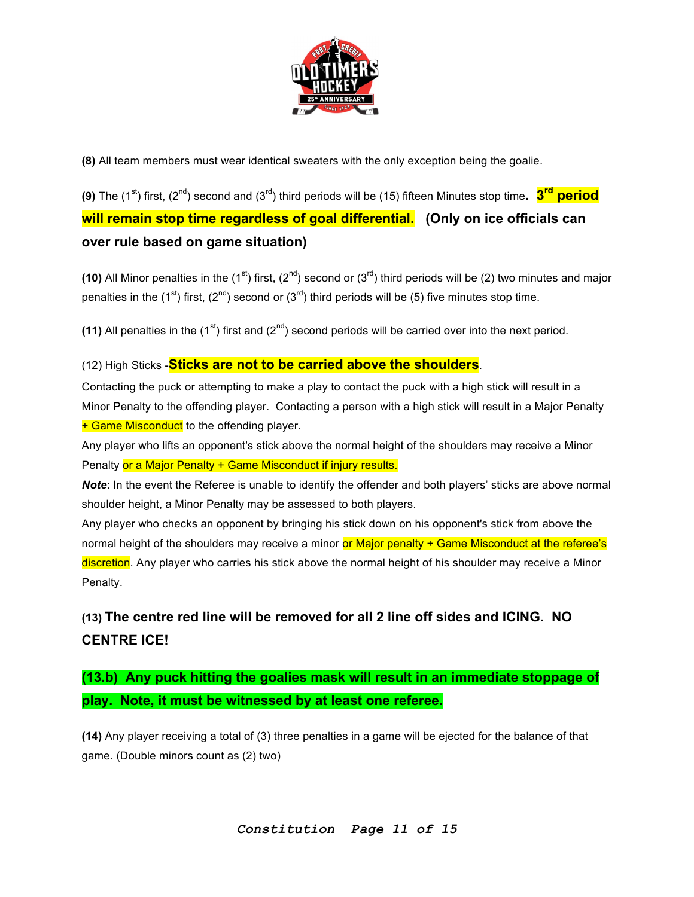

**(8)** All team members must wear identical sweaters with the only exception being the goalie.

**(9)** The (1<sup>st</sup>) first, (2<sup>nd</sup>) second and (3<sup>rd</sup>) third periods will be (15) fifteen Minutes stop time. **3<sup>rd</sup> period will remain stop time regardless of goal differential. (Only on ice officials can over rule based on game situation)** 

(10) All Minor penalties in the  $(1^{st})$  first,  $(2^{nd})$  second or  $(3^{rd})$  third periods will be (2) two minutes and major penalties in the (1<sup>st</sup>) first, (2<sup>nd</sup>) second or (3<sup>rd</sup>) third periods will be (5) five minutes stop time.

(11) All penalties in the  $(1^{st})$  first and  $(2^{nd})$  second periods will be carried over into the next period.

### (12) High Sticks -**Sticks are not to be carried above the shoulders**.

Contacting the puck or attempting to make a play to contact the puck with a high stick will result in a Minor Penalty to the offending player. Contacting a person with a high stick will result in a Major Penalty + Game Misconduct to the offending player.

Any player who lifts an opponent's stick above the normal height of the shoulders may receive a Minor Penalty or a Major Penalty + Game Misconduct if injury results.

*Note*: In the event the Referee is unable to identify the offender and both players' sticks are above normal shoulder height, a Minor Penalty may be assessed to both players.

Any player who checks an opponent by bringing his stick down on his opponent's stick from above the normal height of the shoulders may receive a minor or Major penalty + Game Misconduct at the referee's discretion. Any player who carries his stick above the normal height of his shoulder may receive a Minor Penalty.

## **(13) The centre red line will be removed for all 2 line off sides and ICING. NO CENTRE ICE!**

## **(13.b) Any puck hitting the goalies mask will result in an immediate stoppage of play. Note, it must be witnessed by at least one referee.**

**(14)** Any player receiving a total of (3) three penalties in a game will be ejected for the balance of that game. (Double minors count as (2) two)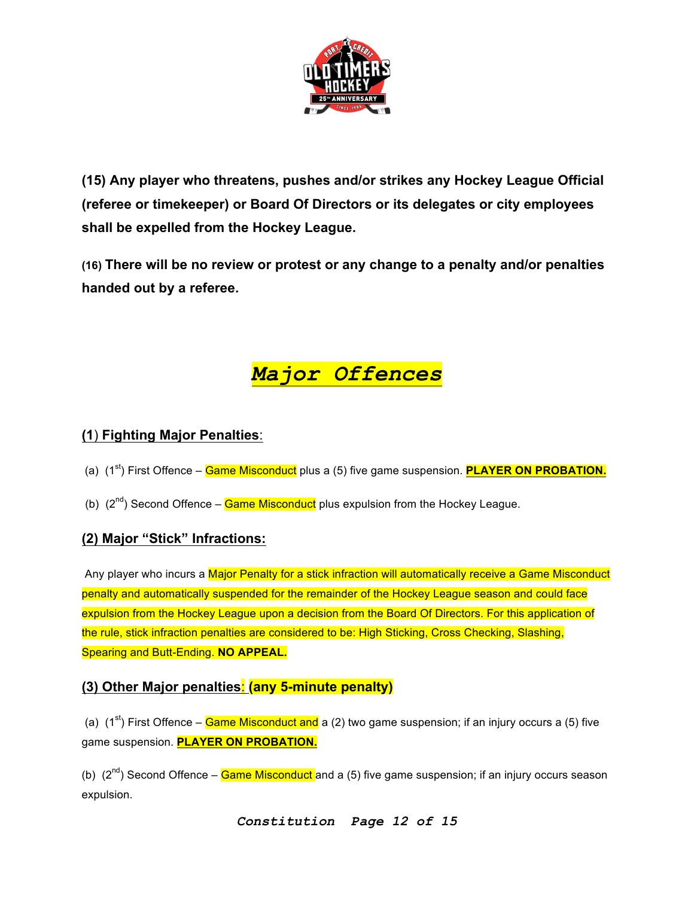

**(15) Any player who threatens, pushes and/or strikes any Hockey League Official (referee or timekeeper) or Board Of Directors or its delegates or city employees shall be expelled from the Hockey League.**

**(16) There will be no review or protest or any change to a penalty and/or penalties handed out by a referee.**



## **(1**) **Fighting Major Penalties**:

- (a) (1<sup>st</sup>) First Offence **Game Misconduct** plus a (5) five game suspension. **PLAYER ON PROBATION.**
- (b)  $(2^{nd})$  Second Offence **Game Misconduct** plus expulsion from the Hockey League.

## **(2) Major "Stick" Infractions:**

Any player who incurs a Major Penalty for a stick infraction will automatically receive a Game Misconduct penalty and automatically suspended for the remainder of the Hockey League season and could face expulsion from the Hockey League upon a decision from the Board Of Directors. For this application of the rule, stick infraction penalties are considered to be: High Sticking, Cross Checking, Slashing, Spearing and Butt-Ending. **NO APPEAL.**

## **(3) Other Major penalties**: **(any 5-minute penalty)**

(a)  $(1^{st})$  First Offence – Game Misconduct and a (2) two game suspension; if an injury occurs a (5) five game suspension. **PLAYER ON PROBATION.**

(b)  $(2^{nd})$  Second Offence – Game Misconduct and a (5) five game suspension; if an injury occurs season expulsion.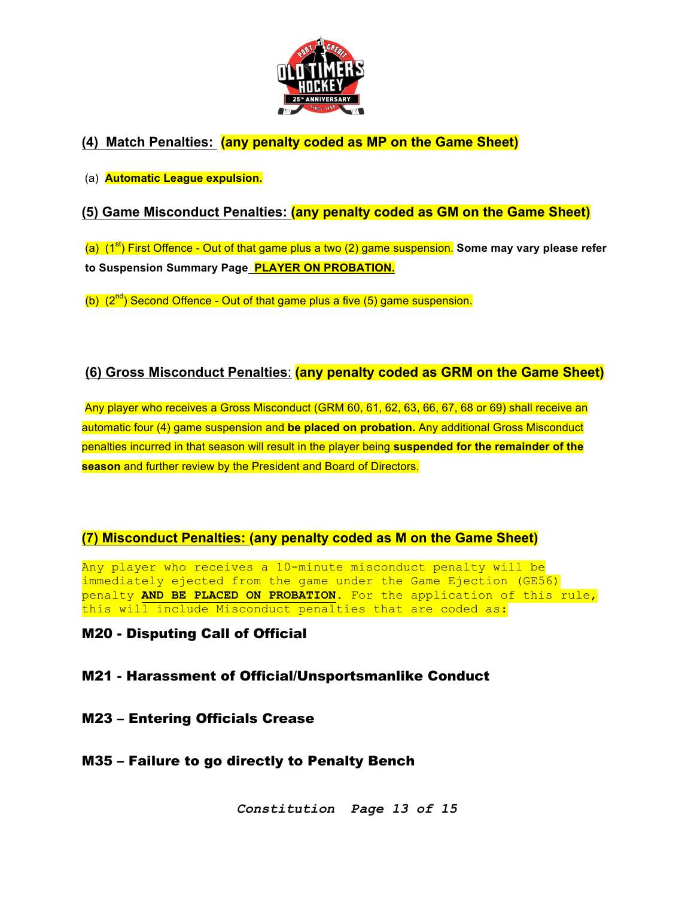

## **(4) Match Penalties: (any penalty coded as MP on the Game Sheet)**

### (a) **Automatic League expulsion.**

## **(5) Game Misconduct Penalties: (any penalty coded as GM on the Game Sheet)**

(a) (1<sup>st</sup>) First Offence - Out of that game plus a two (2) game suspension. Some may vary please refer **to Suspension Summary Page PLAYER ON PROBATION.**

(b)  $(2^{nd})$  Second Offence - Out of that game plus a five  $(5)$  game suspension.

## **(6) Gross Misconduct Penalties**: **(any penalty coded as GRM on the Game Sheet)**

Any player who receives a Gross Misconduct (GRM 60, 61, 62, 63, 66, 67, 68 or 69) shall receive an automatic four (4) game suspension and **be placed on probation.** Any additional Gross Misconduct penalties incurred in that season will result in the player being **suspended for the remainder of the season** and further review by the President and Board of Directors.

## **(7) Misconduct Penalties: (any penalty coded as M on the Game Sheet)**

Any player who receives a 10-minute misconduct penalty will be immediately ejected from the game under the Game Ejection (GE56) penalty **AND BE PLACED ON PROBATION**. For the application of this rule, this will include Misconduct penalties that are coded as:

## M20 - Disputing Call of Official

## M21 - Harassment of Official/Unsportsmanlike Conduct

M23 – Entering Officials Crease

## M35 – Failure to go directly to Penalty Bench

*Constitution Page 13 of 15*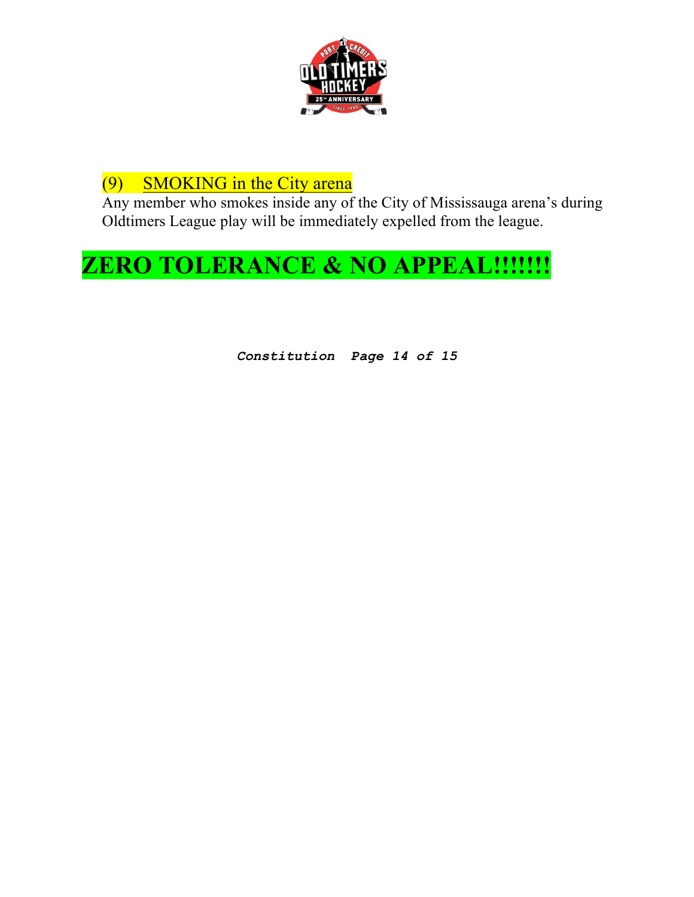

## (9) SMOKING in the City arena

Any member who smokes inside any of the City of Mississauga arena's during Oldtimers League play will be immediately expelled from the league.

# **ZERO TOLERANCE & NO APPEAL!!!!!!!**

*Constitution Page 14 of 15*